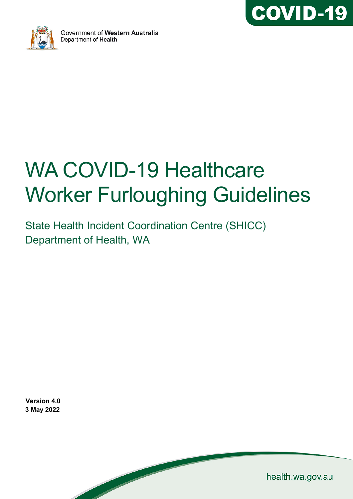



Government of Western Australia Department of Health

# WA COVID-19 Healthcare Worker Furloughing Guidelines

State Health Incident Coordination Centre (SHICC) Department of Health, WA

**Version 4.0 3 May 2022**

health.wa.gov.au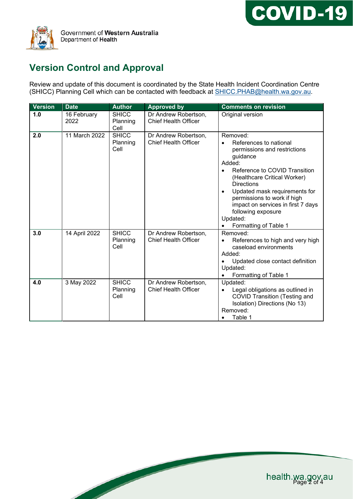



# **Version Control and Approval**

Review and update of this document is coordinated by the State Health Incident Coordination Centre (SHICC) Planning Cell which can be contacted with feedback at <u>SHICC.PHAB@health.wa.gov.au</u>.

| <b>Version</b> | <b>Date</b>         | <b>Author</b>                    | <b>Approved by</b>                                  | <b>Comments on revision</b>                                                                                                                                                                                                                                                                                                                                  |
|----------------|---------------------|----------------------------------|-----------------------------------------------------|--------------------------------------------------------------------------------------------------------------------------------------------------------------------------------------------------------------------------------------------------------------------------------------------------------------------------------------------------------------|
| 1.0            | 16 February<br>2022 | <b>SHICC</b><br>Planning<br>Cell | Dr Andrew Robertson,<br><b>Chief Health Officer</b> | Original version                                                                                                                                                                                                                                                                                                                                             |
| 2.0            | 11 March 2022       | <b>SHICC</b><br>Planning<br>Cell | Dr Andrew Robertson,<br><b>Chief Health Officer</b> | Removed:<br>References to national<br>permissions and restrictions<br>guidance<br>Added:<br>Reference to COVID Transition<br>(Healthcare Critical Worker)<br><b>Directions</b><br>Updated mask requirements for<br>$\bullet$<br>permissions to work if high<br>impact on services in first 7 days<br>following exposure<br>Updated:<br>Formatting of Table 1 |
| 3.0            | 14 April 2022       | <b>SHICC</b><br>Planning<br>Cell | Dr Andrew Robertson,<br><b>Chief Health Officer</b> | Removed:<br>References to high and very high<br>caseload environments<br>Added:<br>Updated close contact definition<br>Updated:<br>Formatting of Table 1                                                                                                                                                                                                     |
| 4.0            | 3 May 2022          | <b>SHICC</b><br>Planning<br>Cell | Dr Andrew Robertson,<br><b>Chief Health Officer</b> | Updated:<br>Legal obligations as outlined in<br><b>COVID Transition (Testing and</b><br>Isolation) Directions (No 13)<br>Removed:<br>Table 1                                                                                                                                                                                                                 |

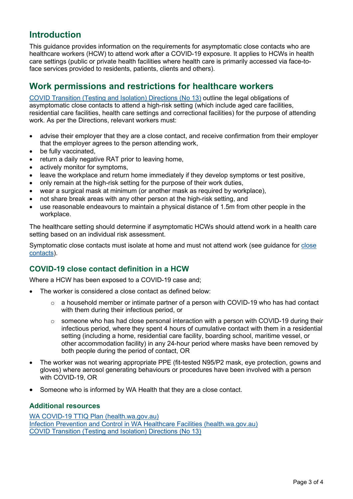## **Introduction**

This guidance provides information on the requirements for asymptomatic close contacts who are healthcare workers (HCW) to attend work after a COVID-19 exposure. It applies to HCWs in health care settings (public or private health facilities where health care is primarily accessed via face-toface services provided to residents, patients, clients and others).

# **Work permissions and restrictions for healthcare workers**

COVID [Transition \(Testing and Isolation\) Directions \(No 13\)](https://www.wa.gov.au/system/files/2022-04/20220429-COVID-Transition-Testing-and-Isolation-Directions-No-13.pdf) outline the legal obligations of asymptomatic close contacts to attend a high-risk setting (which include aged care facilities, residential care facilities, health care settings and correctional facilities) for the purpose of attending work. As per the Directions, relevant workers must:

- advise their employer that they are a close contact, and receive confirmation from their employer that the employer agrees to the person attending work,
- be fully vaccinated,
- return a daily negative RAT prior to leaving home.
- actively monitor for symptoms.
- leave the workplace and return home immediately if they develop symptoms or test positive,
- only remain at the high-risk setting for the purpose of their work duties,
- wear a surgical mask at minimum (or another mask as required by workplace),
- not share break areas with any other person at the high-risk setting, and
- use reasonable endeavours to maintain a physical distance of 1.5m from other people in the workplace.

The healthcare setting should determine if asymptomatic HCWs should attend work in a health care setting based on an individual risk assessment.

Symptomatic close contacts must isolate at home and must not attend work (see guidance for [close](https://www.healthywa.wa.gov.au/Articles/A_E/Coronavirus/COVID19-close-contacts)  [contacts\)](https://www.healthywa.wa.gov.au/Articles/A_E/Coronavirus/COVID19-close-contacts).

## **COVID-19 close contact definition in a HCW**

Where a HCW has been exposed to a COVID-19 case and;

- The worker is considered a close contact as defined below:
	- $\circ$  a household member or intimate partner of a person with COVID-19 who has had contact with them during their infectious period, or
	- $\circ$  someone who has had close personal interaction with a person with COVID-19 during their infectious period, where they spent 4 hours of cumulative contact with them in a residential setting (including a home, residential care facility, boarding school, maritime vessel, or other accommodation facility) in any 24-hour period where masks have been removed by both people during the period of contact, OR
- The worker was not wearing appropriate PPE (fit-tested N95/P2 mask, eye protection, gowns and gloves) where aerosol generating behaviours or procedures have been involved with a person with COVID-19, OR
- Someone who is informed by WA Health that they are a close contact.

## **Additional resources**

[WA COVID-19 TTIQ Plan \(health.wa.gov.au\)](https://ww2.health.wa.gov.au/Articles/A_E/Coronavirus/COVID19-information-for-business-and-industry/TTIQ-Plan) [Infection Prevention and Control in WA Healthcare Facilities \(health.wa.gov.au\)](https://ww2.health.wa.gov.au/Articles/A_E/Coronavirus/COVID19-information-for-health-professionals) [COVID Transition \(Testing and Isolation\) Directions \(No 13\)](https://www.wa.gov.au/system/files/2022-04/20220429-COVID-Transition-Testing-and-Isolation-Directions-No-13.pdf)